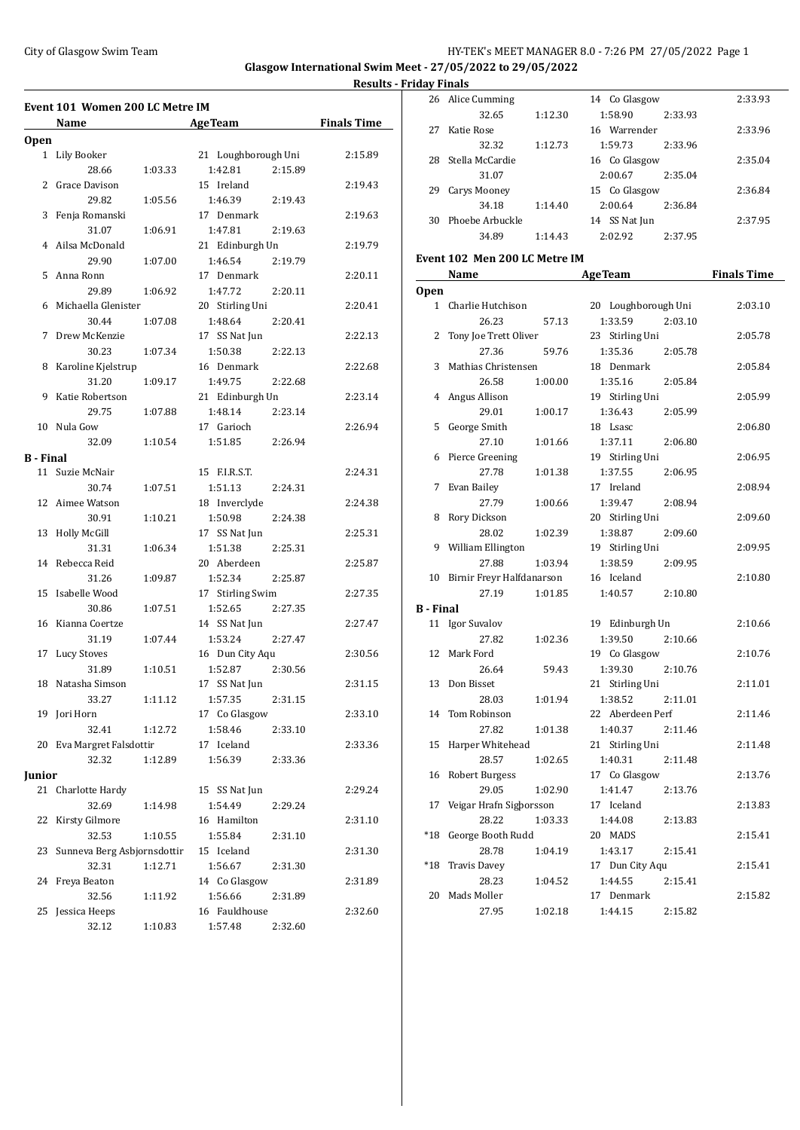## City of Glasgow Swim Team Team Team Fermion City of Glasgow Swim Team Fermion City of Glasgow Swim Team Fermion City of Glasgow Swim Team Fermion City of Glasgow Swim Team Fermion City of Glasgow Swim Team Fermion City of

**Glasgow International Swim Meet - 27/05/2022 to 29/05/2022 Results - Friday Finals**

| <b>Finals Time</b> |
|--------------------|
|                    |
| 2:15.89            |
|                    |
| 2:19.43            |
|                    |
| 2:19.63            |
|                    |
| 2:19.79            |
|                    |
| 2:20.11            |
|                    |
| 2:20.41            |
|                    |
| 2:22.13            |
|                    |
| 2:22.68            |
|                    |
| 2:23.14            |
|                    |
| 2:26.94            |
|                    |
|                    |
| 2:24.31            |
|                    |
| 2:24.38            |
|                    |
| 2:25.31            |
|                    |
| 2:25.87            |
|                    |
| 2:27.35            |
|                    |
| 2:27.47            |
|                    |
| 2:30.56            |
|                    |
| 2:31.15            |
|                    |
| 2:33.10            |
|                    |
| 2:33.36            |
|                    |
|                    |
| 2:29.24            |
|                    |
| 2:31.10            |
|                    |
| 2:31.30            |
|                    |
| 2:31.89            |
|                    |
| 2:32.60            |
|                    |
|                    |

|                  | 26 Alice Cumming              |         | 14 Co Glasgow       | 2:33.93            |
|------------------|-------------------------------|---------|---------------------|--------------------|
|                  | 32.65                         | 1:12.30 | 1:58.90<br>2:33.93  |                    |
| 27               | Katie Rose                    |         | 16 Warrender        | 2:33.96            |
|                  | 32.32                         | 1:12.73 | 1:59.73<br>2:33.96  |                    |
|                  | 28 Stella McCardie            |         | 16 Co Glasgow       | 2:35.04            |
|                  | 31.07                         |         | 2:00.67<br>2:35.04  |                    |
| 29               | Carys Mooney                  |         | 15 Co Glasgow       | 2:36.84            |
|                  | 34.18                         | 1:14.40 | 2:00.64<br>2:36.84  |                    |
|                  | 30 Phoebe Arbuckle            |         | 14 SS Nat Jun       | 2:37.95            |
|                  | 34.89                         | 1:14.43 | 2:02.92<br>2:37.95  |                    |
|                  |                               |         |                     |                    |
|                  | Event 102 Men 200 LC Metre IM |         |                     |                    |
|                  | Name                          |         | <b>AgeTeam</b>      | <b>Finals Time</b> |
| <b>Open</b>      |                               |         |                     |                    |
|                  | 1 Charlie Hutchison           |         | 20 Loughborough Uni | 2:03.10            |
|                  | 26.23                         | 57.13   | 1:33.59<br>2:03.10  |                    |
| 2                | Tony Joe Trett Oliver         |         | 23 Stirling Uni     | 2:05.78            |
|                  | 27.36                         | 59.76   | 1:35.36<br>2:05.78  |                    |
|                  | 3 Mathias Christensen         |         | 18 Denmark          | 2:05.84            |
|                  | 26.58                         | 1:00.00 | 1:35.16<br>2:05.84  |                    |
| 4                | Angus Allison                 |         | 19 Stirling Uni     | 2:05.99            |
|                  | 29.01                         | 1:00.17 | 1:36.43<br>2:05.99  |                    |
| 5                | George Smith                  |         | 18 Lsasc            | 2:06.80            |
|                  | 27.10                         | 1:01.66 | 1:37.11<br>2:06.80  |                    |
| 6                | Pierce Greening               |         | 19 Stirling Uni     | 2:06.95            |
|                  | 27.78                         | 1:01.38 | 1:37.55<br>2:06.95  |                    |
|                  | 7 Evan Bailey                 |         | 17 Ireland          | 2:08.94            |
|                  | 27.79                         | 1:00.66 | 1:39.47<br>2:08.94  |                    |
|                  | 8 Rory Dickson                |         | 20 Stirling Uni     | 2:09.60            |
|                  | 28.02                         | 1:02.39 | 1:38.87<br>2:09.60  |                    |
|                  | 9 William Ellington           |         | 19 Stirling Uni     | 2:09.95            |
|                  | 27.88                         | 1:03.94 | 1:38.59<br>2:09.95  |                    |
|                  | 10 Birnir Freyr Halfdanarson  |         | 16 Iceland          | 2:10.80            |
|                  | 27.19                         | 1:01.85 | 1:40.57<br>2:10.80  |                    |
| <b>B</b> - Final |                               |         |                     |                    |
|                  | 11 Igor Suvalov               |         | 19 Edinburgh Un     | 2:10.66            |
|                  | 27.82                         | 1:02.36 | 1:39.50<br>2:10.66  |                    |
|                  | 12 Mark Ford                  |         | 19 Co Glasgow       | 2:10.76            |
|                  | 26.64                         | 59.43   | 1:39.30<br>2:10.76  |                    |
|                  | 13 Don Bisset                 |         | 21 Stirling Uni     | 2:11.01            |
|                  | 28.03                         | 1:01.94 | 1:38.52<br>2:11.01  |                    |
|                  | 14 Tom Robinson               |         | 22 Aberdeen Perf    | 2:11.46            |
|                  | 27.82                         | 1:01.38 | 1:40.37<br>2:11.46  |                    |
| 15               | Harper Whitehead              |         | 21 Stirling Uni     | 2:11.48            |
|                  | 28.57                         | 1:02.65 | 1:40.31<br>2:11.48  |                    |
| 16               | <b>Robert Burgess</b>         |         | 17 Co Glasgow       | 2:13.76            |
|                  | 29.05                         | 1:02.90 | 1:41.47<br>2:13.76  |                    |
| 17               | Veigar Hrafn Sigborsson       |         | 17 Iceland          | 2:13.83            |
|                  | 28.22                         | 1:03.33 | 1:44.08<br>2:13.83  |                    |
| $*18$            | George Booth Rudd             |         | 20 MADS             | 2:15.41            |
|                  | 28.78                         | 1:04.19 | 1:43.17<br>2:15.41  |                    |
| *18              | <b>Travis Davey</b>           |         | 17 Dun City Aqu     | 2:15.41            |
|                  | 28.23                         | 1:04.52 | 1:44.55<br>2:15.41  |                    |
| 20               | Mads Moller                   |         | 17 Denmark          | 2:15.82            |
|                  | 27.95                         | 1:02.18 | 1:44.15<br>2:15.82  |                    |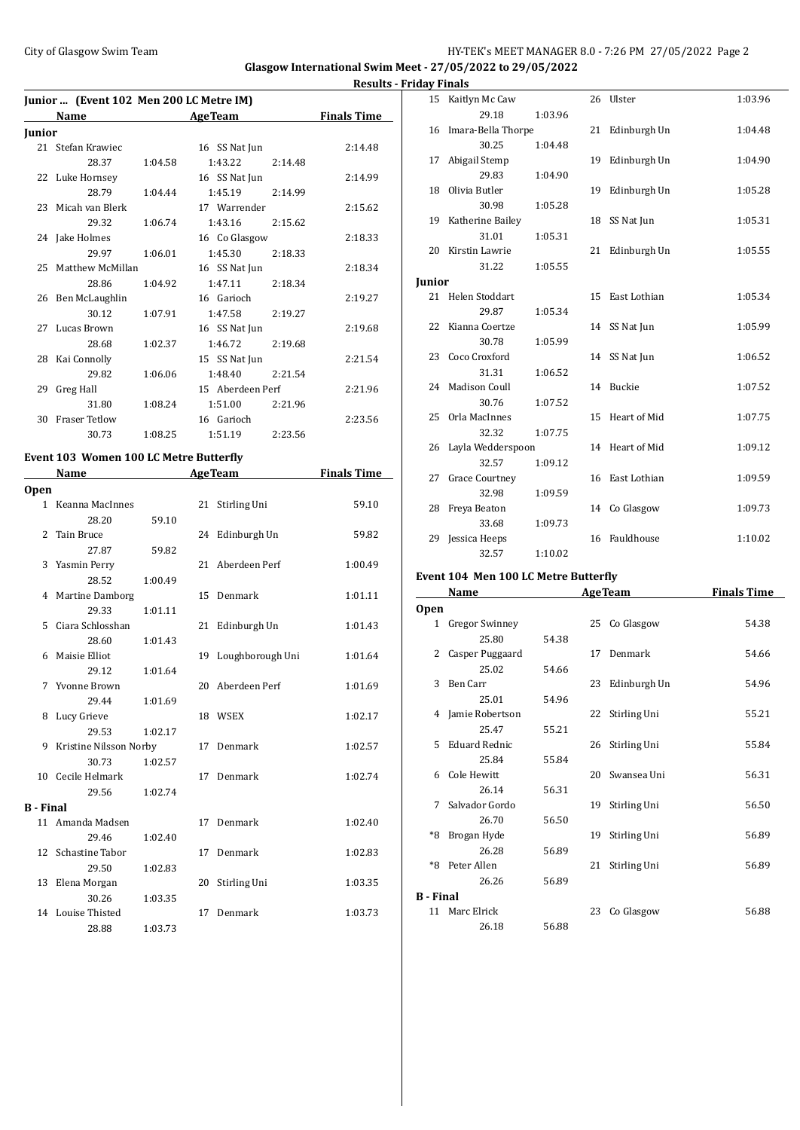### City of Glasgow Swim Team HY-TEK's MEET MANAGER 8.0 - 7:26 PM 27/05/2022 Page 2

**Glasgow International Swim Meet - 27/05/2022 to 29/05/2022**

|        | Junior  (Event 102 Men 200 LC Metre IM) |         |                    |                    |
|--------|-----------------------------------------|---------|--------------------|--------------------|
|        | Name                                    |         | <b>AgeTeam</b>     | <b>Finals Time</b> |
| Junior |                                         |         |                    |                    |
|        | 21 Stefan Krawiec                       |         | 16 SS Nat Jun      | 2:14.48            |
|        | 28.37                                   | 1:04.58 | 1:43.22<br>2:14.48 |                    |
|        | 22 Luke Hornsey                         |         | 16 SS Nat Jun      | 2:14.99            |
|        | 28.79                                   | 1:04.44 | 1:45.19<br>2:14.99 |                    |
|        | 23 Micah van Blerk                      |         | 17 Warrender       | 2:15.62            |
|        | 29.32                                   | 1:06.74 | 1:43.16<br>2:15.62 |                    |
|        | 24 Jake Holmes                          |         | 16 Co Glasgow      | 2:18.33            |
|        | 29.97                                   | 1:06.01 | 1:45.30<br>2:18.33 |                    |
|        | 25 Matthew McMillan                     |         | 16 SS Nat Jun      | 2:18.34            |
|        | 28.86                                   | 1:04.92 | 1:47.11<br>2:18.34 |                    |
|        | 26 Ben McLaughlin                       |         | 16 Garioch         | 2:19.27            |
|        | 30.12                                   | 1:07.91 | 1:47.58<br>2:19.27 |                    |
|        | 27 Lucas Brown                          |         | 16 SS Nat Jun      | 2:19.68            |
|        | 28.68                                   | 1:02.37 | 1:46.72<br>2:19.68 |                    |
|        | 28 Kai Connolly                         |         | 15 SS Nat Jun      | 2:21.54            |
|        | 29.82                                   | 1:06.06 | 1:48.40<br>2:21.54 |                    |
| 29     | Greg Hall                               |         | 15 Aberdeen Perf   | 2:21.96            |
|        | 31.80                                   | 1:08.24 | 1:51.00<br>2:21.96 |                    |
| 30     | <b>Fraser Tetlow</b>                    |         | 16 Garioch         | 2:23.56            |
|        | 30.73                                   | 1:08.25 | 2:23.56<br>1:51.19 |                    |

# **Event 103 Women 100 LC Metre Butterfly**

|                  | Name                     | <b>AgeTeam</b> |    |                  | <b>Finals Time</b> |
|------------------|--------------------------|----------------|----|------------------|--------------------|
| <b>Open</b>      |                          |                |    |                  |                    |
|                  | 1 Keanna MacInnes        |                | 21 | Stirling Uni     | 59.10              |
|                  | 28.20                    | 59.10          |    |                  |                    |
| 2.               | Tain Bruce               |                | 24 | Edinburgh Un     | 59.82              |
|                  | 27.87                    | 59.82          |    |                  |                    |
|                  | 3 Yasmin Perry           |                | 21 | Aberdeen Perf    | 1:00.49            |
|                  | 28.52                    | 1:00.49        |    |                  |                    |
|                  | 4 Martine Damborg        |                | 15 | Denmark          | 1:01.11            |
|                  | 29.33                    | 1:01.11        |    |                  |                    |
| 5.               | Ciara Schlosshan         |                | 21 | Edinburgh Un     | 1:01.43            |
|                  | 28.60                    | 1:01.43        |    |                  |                    |
|                  | 6 Maisie Elliot          |                | 19 | Loughborough Uni | 1:01.64            |
|                  | 29.12                    | 1:01.64        |    |                  |                    |
|                  | 7 Yvonne Brown           |                | 20 | Aberdeen Perf    | 1:01.69            |
|                  | 29.44                    | 1:01.69        |    |                  |                    |
| 8                | Lucy Grieve              |                |    | 18 WSEX          | 1:02.17            |
|                  | 29.53                    | 1:02.17        |    |                  |                    |
|                  | 9 Kristine Nilsson Norby |                |    | 17 Denmark       | 1:02.57            |
|                  | 30.73                    | 1:02.57        |    |                  |                    |
|                  | 10 Cecile Helmark        |                | 17 | Denmark          | 1:02.74            |
|                  | 29.56                    | 1:02.74        |    |                  |                    |
| <b>B</b> - Final |                          |                |    |                  |                    |
|                  | 11 Amanda Madsen         |                | 17 | Denmark          | 1:02.40            |
|                  | 29.46                    | 1:02.40        |    |                  |                    |
|                  | 12 Schastine Tabor       |                | 17 | Denmark          | 1:02.83            |
|                  | 29.50                    | 1:02.83        |    |                  |                    |
|                  | 13 Elena Morgan          |                | 20 | Stirling Uni     | 1:03.35            |
|                  | 30.26                    | 1:03.35        |    |                  |                    |
| 14               | Louise Thisted           |                | 17 | Denmark          | 1:03.73            |
|                  | 28.88                    | 1:03.73        |    |                  |                    |

| <b>Results - Friday Finals</b> |               |                           |         |                 |         |
|--------------------------------|---------------|---------------------------|---------|-----------------|---------|
|                                |               | 15 Kaitlyn Mc Caw         |         | 26 Ulster       | 1:03.96 |
| <b>Time</b>                    |               | 29.18                     | 1:03.96 |                 |         |
|                                |               | 16 Imara-Bella Thorpe     |         | 21 Edinburgh Un | 1:04.48 |
| :14.48                         |               | 30.25                     | 1:04.48 |                 |         |
|                                | 17            | Abigail Stemp             |         | 19 Edinburgh Un | 1:04.90 |
| :14.99                         |               | 29.83                     | 1:04.90 |                 |         |
|                                |               | 18 Olivia Butler          |         | 19 Edinburgh Un | 1:05.28 |
| :15.62                         |               | 30.98                     | 1:05.28 |                 |         |
|                                |               | 19 Katherine Bailey       |         | 18 SS Nat Jun   | 1:05.31 |
| :18.33                         |               | 31.01                     | 1:05.31 |                 |         |
|                                |               | 20 Kirstin Lawrie         |         | 21 Edinburgh Un | 1:05.55 |
| :18.34                         |               | 31.22                     | 1:05.55 |                 |         |
|                                | <b>Junior</b> |                           |         |                 |         |
| :19.27                         |               | 21 Helen Stoddart         |         | 15 East Lothian | 1:05.34 |
|                                |               | 29.87                     | 1:05.34 |                 |         |
| :19.68                         |               | 22 Kianna Coertze         |         | 14 SS Nat Jun   | 1:05.99 |
|                                |               | 30.78                     | 1:05.99 |                 |         |
| :21.54                         |               | 23 Coco Croxford          |         | 14 SS Nat Jun   | 1:06.52 |
|                                |               | 31.31                     | 1:06.52 |                 |         |
| :21.96                         |               | 24 Madison Coull          |         | 14 Buckie       | 1:07.52 |
|                                |               | 30.76                     | 1:07.52 |                 |         |
| :23.56                         |               | 25 Orla MacInnes<br>32.32 | 1:07.75 | 15 Heart of Mid | 1:07.75 |
|                                |               | 26 Layla Wedderspoon      |         | 14 Heart of Mid | 1:09.12 |
|                                |               | 32.57                     | 1:09.12 |                 |         |
| Time                           |               | 27 Grace Courtney         |         | 16 East Lothian | 1:09.59 |
|                                |               | 32.98                     | 1:09.59 |                 |         |
| 59.10                          |               | 28 Freya Beaton           |         | 14 Co Glasgow   | 1:09.73 |
|                                |               | 33.68                     | 1:09.73 |                 |         |
| 59.82                          | 29            | Jessica Heeps             |         | 16 Fauldhouse   | 1:10.02 |
|                                |               | 32.57                     | 1:10.02 |                 |         |

#### **Event 104 Men 100 LC Metre Butterfly**

|                  | <b>Name</b>          | <b>AgeTeam</b> |    | <b>Finals Time</b> |       |
|------------------|----------------------|----------------|----|--------------------|-------|
| <b>Open</b>      |                      |                |    |                    |       |
| 1                | Gregor Swinney       |                |    | 25 Co Glasgow      | 54.38 |
|                  | 25.80                | 54.38          |    |                    |       |
| 2                | Casper Puggaard      |                |    | 17 Denmark         | 54.66 |
|                  | 25.02                | 54.66          |    |                    |       |
| 3                | Ben Carr             |                |    | 23 Edinburgh Un    | 54.96 |
|                  | 25.01                | 54.96          |    |                    |       |
|                  | 4 Jamie Robertson    |                | 22 | Stirling Uni       | 55.21 |
|                  | 25.47                | 55.21          |    |                    |       |
| 5.               | <b>Eduard Rednic</b> |                |    | 26 Stirling Uni    | 55.84 |
|                  | 25.84                | 55.84          |    |                    |       |
| 6                | Cole Hewitt          |                |    | 20 Swansea Uni     | 56.31 |
|                  | 26.14                | 56.31          |    |                    |       |
| 7                | Salvador Gordo       |                |    | 19 Stirling Uni    | 56.50 |
|                  | 26.70                | 56.50          |    |                    |       |
| *8               | Brogan Hyde          |                | 19 | Stirling Uni       | 56.89 |
|                  | 26.28                | 56.89          |    |                    |       |
| $*8$             | Peter Allen          |                | 21 | Stirling Uni       | 56.89 |
|                  | 26.26                | 56.89          |    |                    |       |
| <b>B</b> - Final |                      |                |    |                    |       |
| 11               | Marc Elrick          |                | 23 | Co Glasgow         | 56.88 |
|                  | 26.18                | 56.88          |    |                    |       |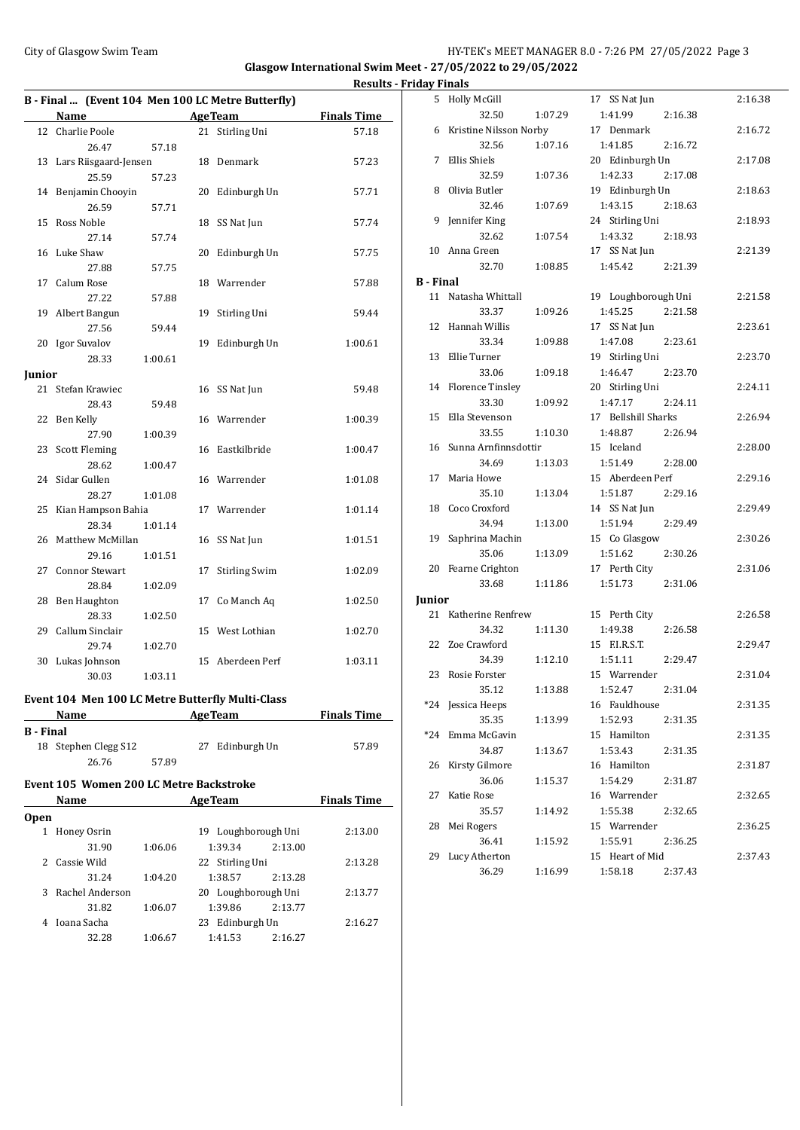### City of Glasgow Swim Team Team Team Fermi Management City of Glasgow Swim Team Fermi Management City of Glasgow Swim Team Fermi Management City of Glasgow Swim Team Fermi Management City of Glasgow Swim Team Fermi Manageme

**Glasgow International Swim Meet - 27/05/2022 to 29/05/2022 Results - Friday Finals**

|                                              | B - Final  (Event 104 Men 100 LC Metre Butterfly) |         |    |                      |                             |
|----------------------------------------------|---------------------------------------------------|---------|----|----------------------|-----------------------------|
|                                              | <b>Name</b>                                       |         |    |                      |                             |
|                                              |                                                   |         |    | <b>AgeTeam</b>       | <b>Finals Time</b><br>57.18 |
|                                              | 12 Charlie Poole<br>26.47                         |         |    | 21 Stirling Uni      |                             |
|                                              |                                                   | 57.18   |    |                      |                             |
|                                              | 13 Lars Riisgaard-Jensen<br>25.59                 | 57.23   |    | 18 Denmark           | 57.23                       |
| 14                                           |                                                   |         |    |                      |                             |
|                                              | Benjamin Chooyin<br>26.59                         |         |    | 20 Edinburgh Un      | 57.71                       |
|                                              |                                                   | 57.71   |    |                      |                             |
| 15                                           | Ross Noble<br>27.14                               | 57.74   |    | 18 SS Nat Jun        | 57.74                       |
|                                              |                                                   |         |    |                      |                             |
| 16                                           | Luke Shaw                                         |         | 20 | Edinburgh Un         | 57.75                       |
|                                              | 27.88                                             | 57.75   |    |                      |                             |
| 17                                           | Calum Rose                                        |         |    | 18 Warrender         | 57.88                       |
|                                              | 27.22                                             | 57.88   |    |                      |                             |
|                                              | 19 Albert Bangun                                  |         | 19 | Stirling Uni         | 59.44                       |
|                                              | 27.56                                             | 59.44   |    |                      |                             |
|                                              | 20 Igor Suvalov                                   |         | 19 | Edinburgh Un         | 1:00.61                     |
|                                              | 28.33                                             | 1:00.61 |    |                      |                             |
| Junior                                       |                                                   |         |    |                      |                             |
| 21                                           | Stefan Krawiec                                    |         |    | 16 SS Nat Jun        | 59.48                       |
|                                              | 28.43                                             | 59.48   |    |                      |                             |
| 22                                           | Ben Kelly                                         |         |    | 16 Warrender         | 1:00.39                     |
|                                              | 27.90                                             | 1:00.39 |    |                      |                             |
|                                              | 23 Scott Fleming                                  |         |    | 16 Eastkilbride      | 1:00.47                     |
|                                              | 28.62                                             | 1:00.47 |    |                      |                             |
| 24                                           | Sidar Gullen                                      |         |    | 16 Warrender         | 1:01.08                     |
|                                              | 28.27                                             | 1:01.08 |    |                      |                             |
| 25                                           | Kian Hampson Bahia                                |         |    | 17 Warrender         | 1:01.14                     |
|                                              | 28.34                                             | 1:01.14 |    |                      |                             |
| 26                                           | Matthew McMillan                                  |         |    | 16 SS Nat Jun        | 1:01.51                     |
|                                              | 29.16                                             | 1:01.51 |    |                      |                             |
| 27                                           | <b>Connor Stewart</b>                             |         | 17 | <b>Stirling Swim</b> | 1:02.09                     |
|                                              | 28.84                                             | 1:02.09 |    |                      |                             |
|                                              | 28 Ben Haughton                                   |         |    | 17 Co Manch Aq       | 1:02.50                     |
|                                              | 28.33                                             | 1:02.50 |    |                      |                             |
| 29                                           | Callum Sinclair                                   |         |    | 15 West Lothian      | 1:02.70                     |
|                                              | 29.74                                             | 1:02.70 |    |                      |                             |
|                                              | 30 Lukas Johnson                                  |         |    | 15 Aberdeen Perf     | 1:03.11                     |
|                                              | 30.03                                             | 1:03.11 |    |                      |                             |
|                                              | Event 104 Men 100 LC Metre Butterfly Multi-Class  |         |    |                      |                             |
| <b>AgeTeam</b><br><b>Finals Time</b><br>Name |                                                   |         |    |                      |                             |
| <b>B</b> - Final                             |                                                   |         |    |                      |                             |
|                                              | 18 Stephen Clegg S12                              |         | 27 | Edinburgh Un         | 57.89                       |
|                                              | 26.76                                             | 57.89   |    |                      |                             |
|                                              |                                                   |         |    |                      |                             |

### **Event 105 Women 200 LC Metre Backstroke**

|             | Name            |         | <b>AgeTeam</b>         | <b>Finals Time</b> |         |
|-------------|-----------------|---------|------------------------|--------------------|---------|
| <b>Open</b> |                 |         |                        |                    |         |
|             | Honey Osrin     |         | Loughborough Uni<br>19 |                    | 2:13.00 |
|             | 31.90           | 1:06.06 | 1:39.34                | 2:13.00            |         |
|             | Cassie Wild     |         | 22 Stirling Uni        |                    | 2:13.28 |
|             | 31.24           | 1:04.20 | 1:38.57                | 2:13.28            |         |
| 3           | Rachel Anderson |         | 20 Loughborough Uni    |                    | 2:13.77 |
|             | 31.82           | 1:06.07 | 1:39.86                | 2:13.77            |         |
|             | Ioana Sacha     |         | Edinburgh Un<br>23     |                    | 2:16.27 |
|             | 32.28           | 1:06.67 | 1:41.53                | 2:16.27            |         |

| 5                | <b>Holly McGill</b>      |         | 17 SS Nat Jun       | 2:16.38 |
|------------------|--------------------------|---------|---------------------|---------|
|                  | 32.50                    | 1:07.29 | 1:41.99<br>2:16.38  |         |
|                  | 6 Kristine Nilsson Norby |         | 17 Denmark          | 2:16.72 |
|                  | 32.56                    | 1:07.16 | 1:41.85<br>2:16.72  |         |
|                  | 7 Ellis Shiels           |         | 20 Edinburgh Un     | 2:17.08 |
|                  | 32.59                    | 1:07.36 | 1:42.33<br>2:17.08  |         |
|                  | 8 Olivia Butler          |         | 19 Edinburgh Un     | 2:18.63 |
|                  | 32.46                    | 1:07.69 | 1:43.15<br>2:18.63  |         |
|                  | 9 Jennifer King          |         | 24 Stirling Uni     | 2:18.93 |
|                  | 32.62                    | 1:07.54 | 1:43.32<br>2:18.93  |         |
|                  | 10 Anna Green            |         | 17 SS Nat Jun       | 2:21.39 |
|                  | 32.70                    | 1:08.85 | 1:45.42<br>2:21.39  |         |
| <b>B</b> - Final |                          |         |                     |         |
|                  | 11 Natasha Whittall      |         | 19 Loughborough Uni | 2:21.58 |
|                  | 33.37                    | 1:09.26 | 1:45.25<br>2:21.58  |         |
|                  | 12 Hannah Willis         |         | 17 SS Nat Jun       | 2:23.61 |
|                  | 33.34                    | 1:09.88 | 1:47.08<br>2:23.61  |         |
|                  | 13 Ellie Turner          |         | 19 Stirling Uni     | 2:23.70 |
|                  | 33.06                    | 1:09.18 | 1:46.47<br>2:23.70  |         |
|                  | 14 Florence Tinsley      |         | 20 Stirling Uni     | 2:24.11 |
|                  | 33.30                    | 1:09.92 | 1:47.17<br>2:24.11  |         |
|                  | 15 Ella Stevenson        |         | 17 Bellshill Sharks | 2:26.94 |
|                  | 33.55                    | 1:10.30 | 1:48.87<br>2:26.94  |         |
|                  | 16 Sunna Arnfinnsdottir  |         | 15 Iceland          | 2:28.00 |
|                  | 34.69                    | 1:13.03 | 1:51.49<br>2:28.00  |         |
|                  | 17 Maria Howe            |         | 15 Aberdeen Perf    | 2:29.16 |
|                  | 35.10                    | 1:13.04 | 1:51.87<br>2:29.16  |         |
|                  | 18 Coco Croxford         |         | 14 SS Nat Jun       | 2:29.49 |
|                  | 34.94                    | 1:13.00 | 1:51.94<br>2:29.49  |         |
| 19               | Saphrina Machin          |         | 15 Co Glasgow       | 2:30.26 |
|                  | 35.06                    | 1:13.09 | 1:51.62<br>2:30.26  |         |
|                  | 20 Fearne Crighton       |         | 17 Perth City       | 2:31.06 |
|                  | 33.68                    | 1:11.86 | 1:51.73<br>2:31.06  |         |
| Junior           |                          |         |                     |         |
|                  | 21 Katherine Renfrew     |         | 15 Perth City       | 2:26.58 |
|                  | 34.32                    | 1:11.30 | 1:49.38<br>2:26.58  |         |
|                  | 22 Zoe Crawford          |         | 15 F.I.R.S.T.       | 2:29.47 |
|                  | 34.39                    | 1:12.10 | 1:51.11<br>2:29.47  |         |
| 23               | Rosie Forster            |         | 15 Warrender        | 2:31.04 |
|                  | 35.12                    | 1:13.88 | 1:52.47<br>2:31.04  |         |
|                  | *24 Jessica Heeps        |         | 16 Fauldhouse       | 2:31.35 |
|                  | 35.35                    | 1:13.99 | 1:52.93<br>2:31.35  |         |
| $*24$            | Emma McGavin             |         | 15 Hamilton         | 2:31.35 |
|                  | 34.87                    | 1:13.67 | 1:53.43<br>2:31.35  |         |
| 26               | Kirsty Gilmore           |         | 16 Hamilton         | 2:31.87 |
|                  | 36.06                    | 1:15.37 | 1:54.29<br>2:31.87  |         |
| 27               | Katie Rose               |         | 16 Warrender        | 2:32.65 |
|                  | 35.57                    | 1:14.92 | 1:55.38<br>2:32.65  |         |
| 28               | Mei Rogers               |         | 15 Warrender        | 2:36.25 |
|                  | 36.41                    | 1:15.92 | 1:55.91<br>2:36.25  |         |
| 29               | Lucy Atherton            |         | 15 Heart of Mid     | 2:37.43 |
|                  | 36.29                    | 1:16.99 | 1:58.18<br>2:37.43  |         |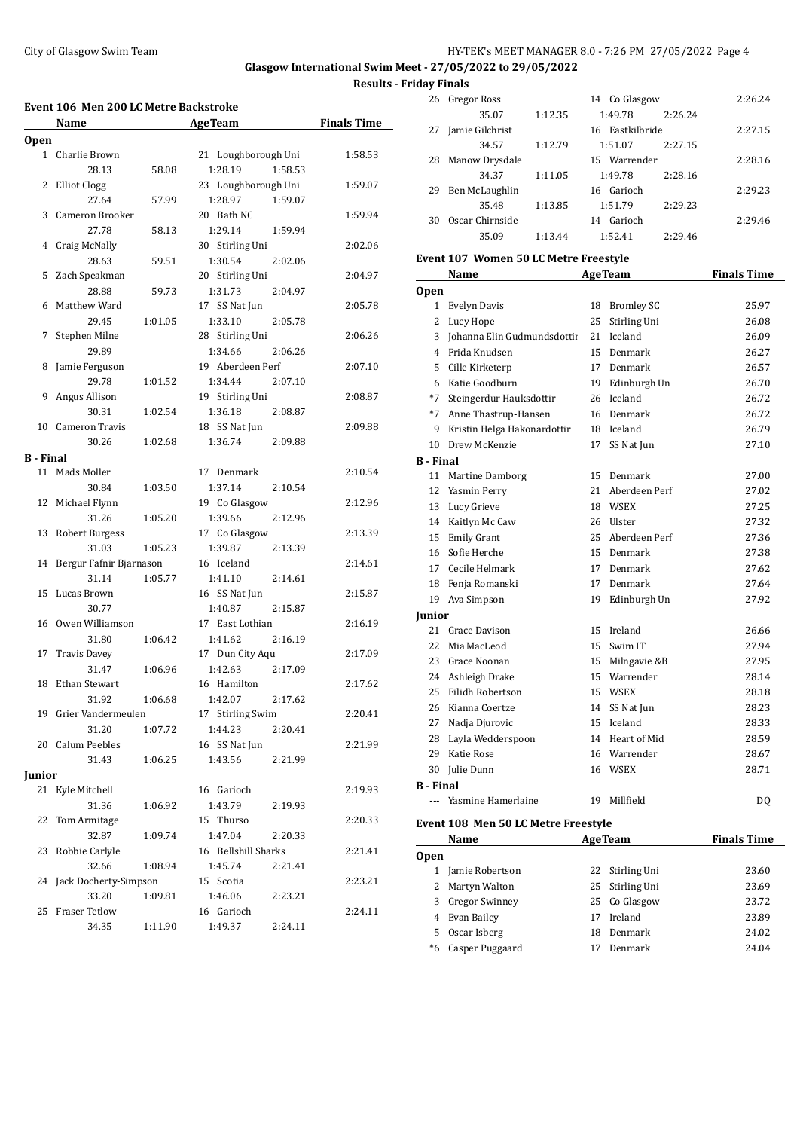## City of Glasgow Swim Team HY-TEK's MEET MANAGER 8.0 - 7:26 PM 27/05/2022 Page 4

**Glasgow International Swim Meet - 27/05/2022 to 29/05/2022**

|             | Event 106 Men 200 LC Metre Backstroke |         |                     |                    |
|-------------|---------------------------------------|---------|---------------------|--------------------|
|             | Name                                  |         | <b>AgeTeam</b>      | <b>Finals Time</b> |
| <b>Open</b> |                                       |         |                     |                    |
|             | 1 Charlie Brown                       |         | 21 Loughborough Uni | 1:58.53            |
|             | 28.13                                 | 58.08   | 1:28.19<br>1:58.53  |                    |
| 2           | <b>Elliot Clogg</b>                   |         | 23 Loughborough Uni | 1:59.07            |
|             | 27.64                                 | 57.99   | 1:28.97<br>1:59.07  |                    |
| 3           | Cameron Brooker                       |         | 20 Bath NC          | 1:59.94            |
|             | 27.78                                 | 58.13   | 1:29.14<br>1:59.94  |                    |
| 4           | Craig McNally                         |         | 30 Stirling Uni     | 2:02.06            |
|             | 28.63                                 | 59.51   | 1:30.54<br>2:02.06  |                    |
| 5           | Zach Speakman                         |         | 20 Stirling Uni     | 2:04.97            |
|             | 28.88                                 | 59.73   | 1:31.73<br>2:04.97  |                    |
| 6           | Matthew Ward                          |         | 17 SS Nat Jun       | 2:05.78            |
|             | 29.45                                 | 1:01.05 | 1:33.10<br>2:05.78  |                    |
| 7           | Stephen Milne                         |         | 28 Stirling Uni     | 2:06.26            |
|             | 29.89                                 |         | 1:34.66<br>2:06.26  |                    |
| 8           | Jamie Ferguson                        |         | 19 Aberdeen Perf    | 2:07.10            |
|             | 29.78                                 | 1:01.52 | 1:34.44<br>2:07.10  |                    |
| 9           | Angus Allison                         |         | 19 Stirling Uni     | 2:08.87            |
|             | 30.31                                 | 1:02.54 | 1:36.18<br>2:08.87  |                    |
| 10          | <b>Cameron Travis</b>                 |         | 18 SS Nat Jun       | 2:09.88            |
|             | 30.26                                 | 1:02.68 | 1:36.74<br>2:09.88  |                    |
| B - Final   |                                       |         |                     |                    |
|             | 11 Mads Moller                        |         | 17 Denmark          | 2:10.54            |
|             | 30.84                                 | 1:03.50 | 1:37.14<br>2:10.54  |                    |
| 12          | Michael Flynn                         |         | 19 Co Glasgow       | 2:12.96            |
|             | 31.26                                 | 1:05.20 | 1:39.66<br>2:12.96  |                    |
| 13          | <b>Robert Burgess</b>                 |         | 17 Co Glasgow       | 2:13.39            |
|             | 31.03                                 | 1:05.23 | 1:39.87<br>2:13.39  |                    |
| 14          | Bergur Fafnir Bjarnason               |         | 16 Iceland          | 2:14.61            |
|             | 31.14                                 | 1:05.77 | 1:41.10<br>2:14.61  |                    |
| 15          | Lucas Brown                           |         | 16 SS Nat Jun       | 2:15.87            |
|             | 30.77                                 |         | 1:40.87<br>2:15.87  |                    |
| 16          | Owen Williamson                       |         | 17 East Lothian     | 2:16.19            |
|             | 31.80                                 | 1:06.42 | 1:41.62<br>2:16.19  |                    |
| 17          | <b>Travis Davey</b>                   |         | 17 Dun City Aqu     | 2:17.09            |
|             | 31.47                                 | 1:06.96 | 1:42.63<br>2:17.09  |                    |
| 18          | <b>Ethan Stewart</b>                  |         | 16 Hamilton         | 2:17.62            |
|             | 31.92                                 | 1:06.68 | 1:42.07<br>2:17.62  |                    |
|             | 19 Grier Vandermeulen                 |         | 17 Stirling Swim    | 2:20.41            |
|             | 31.20                                 | 1:07.72 | 1:44.23<br>2:20.41  |                    |
|             | 20 Calum Peebles                      |         | 16 SS Nat Jun       | 2:21.99            |
|             | 31.43                                 | 1:06.25 | 1:43.56             |                    |
|             |                                       |         | 2:21.99             |                    |
| Junior      | 21 Kyle Mitchell                      |         | 16 Garioch          |                    |
|             |                                       |         | 1:43.79             | 2:19.93            |
|             | 31.36                                 | 1:06.92 | 2:19.93             |                    |
| 22          | Tom Armitage                          |         | 15 Thurso           | 2:20.33            |
|             | 32.87                                 | 1:09.74 | 1:47.04<br>2:20.33  |                    |
| 23          | Robbie Carlyle                        |         | 16 Bellshill Sharks | 2:21.41            |
|             | 32.66                                 | 1:08.94 | 1:45.74<br>2:21.41  |                    |
| 24          | Jack Docherty-Simpson                 |         | 15 Scotia           | 2:23.21            |
|             | 33.20                                 | 1:09.81 | 1:46.06<br>2:23.21  |                    |
| 25          | <b>Fraser Tetlow</b>                  |         | 16 Garioch          | 2:24.11            |
|             | 34.35                                 | 1:11.90 | 1:49.37<br>2:24.11  |                    |

| Results - Fridav Finals |    |                   |         |                 |         |         |  |
|-------------------------|----|-------------------|---------|-----------------|---------|---------|--|
|                         |    | 26 Gregor Ross    |         | 14 Co Glasgow   |         | 2:26.24 |  |
|                         |    | 35.07             | 1:12.35 | 1:49.78         | 2:26.24 |         |  |
| Time                    | 27 | Jamie Gilchrist   |         | 16 Eastkilbride |         | 2:27.15 |  |
|                         |    | 34.57             | 1:12.79 | 1:51.07         | 2:27.15 |         |  |
| 58.53                   | 28 | Manow Drysdale    |         | 15 Warrender    |         | 2:28.16 |  |
|                         |    | 34.37             | 1:11.05 | 1:49.78         | 2:28.16 |         |  |
| 59.07                   |    | 29 Ben McLaughlin |         | 16 Garioch      |         | 2:29.23 |  |
|                         |    | 35.48             | 1:13.85 | 1:51.79         | 2:29.23 |         |  |
| 59.94                   | 30 | Oscar Chirnside   |         | Garioch<br>14   |         | 2:29.46 |  |
| በን በሬ                   |    | 35.09             | 1:13.44 | 1:52.41         | 2:29.46 |         |  |
|                         |    |                   |         |                 |         |         |  |

# **Event 107 Women 50 LC Metre Freestyle**

|                  | <b>Name</b>                 |                 | <b>AgeTeam</b> | <b>Finals Time</b> |
|------------------|-----------------------------|-----------------|----------------|--------------------|
| <b>Open</b>      |                             |                 |                |                    |
|                  | 1 Evelyn Davis              |                 | 18 Bromley SC  | 25.97              |
| 2                | Lucy Hope                   | 25              | Stirling Uni   | 26.08              |
| 3                | Johanna Elin Gudmundsdottii | 21              | Iceland        | 26.09              |
|                  | 4 Frida Knudsen             | 15 <sup>2</sup> | Denmark        | 26.27              |
| 5                | Cille Kirketerp             | 17              | Denmark        | 26.57              |
| 6                | Katie Goodburn              | 19              | Edinburgh Un   | 26.70              |
| $*7$             | Steingerdur Hauksdottir     | 26              | Iceland        | 26.72              |
|                  | *7 Anne Thastrup-Hansen     | 16              | Denmark        | 26.72              |
| 9                | Kristin Helga Hakonardottir |                 | 18 Iceland     | 26.79              |
| 10               | Drew McKenzie               | 17              | SS Nat Jun     | 27.10              |
| <b>B</b> - Final |                             |                 |                |                    |
|                  | 11 Martine Damborg          | 15              | Denmark        | 27.00              |
|                  | 12 Yasmin Perry             | 21              | Aberdeen Perf  | 27.02              |
|                  | 13 Lucy Grieve              |                 | 18 WSEX        | 27.25              |
|                  | 14 Kaitlyn Mc Caw           | 26              | <b>Ulster</b>  | 27.32              |
|                  | 15 Emily Grant              | 25              | Aberdeen Perf  | 27.36              |
|                  | 16 Sofie Herche             | 15 <sup>7</sup> | Denmark        | 27.38              |
|                  | 17 Cecile Helmark           | 17              | Denmark        | 27.62              |
|                  | 18 Fenja Romanski           | 17              | Denmark        | 27.64              |
|                  | 19 Ava Simpson              | 19              | Edinburgh Un   | 27.92              |
| Junior           |                             |                 |                |                    |
|                  | 21 Grace Davison            |                 | 15 Ireland     | 26.66              |
| 22               | Mia MacLeod                 | 15 <sup>2</sup> | Swim IT        | 27.94              |
|                  | 23 Grace Noonan             | 15              | Milngavie &B   | 27.95              |
|                  | 24 Ashleigh Drake           |                 | 15 Warrender   | 28.14              |
| 25               | Eilidh Robertson            |                 | 15 WSEX        | 28.18              |
|                  | 26 Kianna Coertze           | 14              | SS Nat Jun     | 28.23              |
| 27               | Nadja Djurovic              | 15              | Iceland        | 28.33              |
| 28               | Layla Wedderspoon           | 14              | Heart of Mid   | 28.59              |
| 29               | Katie Rose                  | 16              | Warrender      | 28.67              |
| 30               | Julie Dunn                  |                 | 16 WSEX        | 28.71              |
| <b>B</b> - Final |                             |                 |                |                    |
|                  | --- Yasmine Hamerlaine      | 19              | Millfield      | DQ                 |

## **Event 108 Men 50 LC Metre Freestyle**

|             | <b>Name</b>           |    | <b>AgeTeam</b>  | <b>Finals Time</b> |
|-------------|-----------------------|----|-----------------|--------------------|
| <b>Open</b> |                       |    |                 |                    |
|             | Jamie Robertson       |    | 22 Stirling Uni | 23.60              |
| 2           | Martyn Walton         |    | 25 Stirling Uni | 23.69              |
| 3.          | <b>Gregor Swinney</b> |    | 25 Co Glasgow   | 23.72              |
|             | Evan Bailev           | 17 | Ireland         | 23.89              |
| 5.          | Oscar Isberg          | 18 | Denmark         | 24.02              |
| *6          | Casper Puggaard       |    | Denmark         | 24.04              |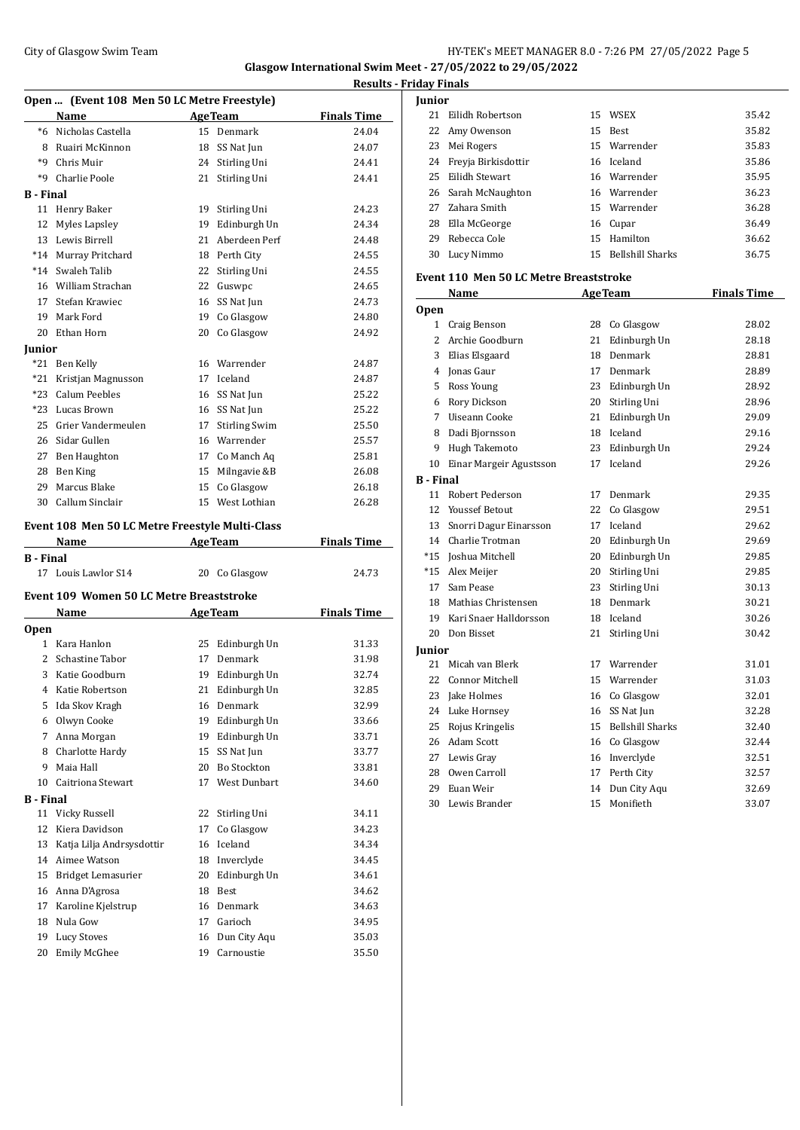## City of Glasgow Swim Team Team Team Fermi Manager 2012 12:26 PM 27/05/2022 Page 5

**Glasgow International Swim Meet - 27/05/2022 to 29/05/2022 Results - Friday Finals**

|                  | Open  (Event 108 Men 50 LC Metre Freestyle)     |    |                      |                    |
|------------------|-------------------------------------------------|----|----------------------|--------------------|
|                  | Name                                            |    | <b>AgeTeam</b>       | <b>Finals Time</b> |
| $*6$             | Nicholas Castella                               |    | 15 Denmark           | 24.04              |
| 8                | Ruairi McKinnon                                 |    | 18 SS Nat Jun        | 24.07              |
| *9               | Chris Muir                                      |    | 24 Stirling Uni      | 24.41              |
| *9               | Charlie Poole                                   | 21 | Stirling Uni         | 24.41              |
| B - Final        |                                                 |    |                      |                    |
| 11               | Henry Baker                                     | 19 | Stirling Uni         | 24.23              |
| 12               | <b>Myles Lapsley</b>                            | 19 | Edinburgh Un         | 24.34              |
| 13               | Lewis Birrell                                   | 21 | Aberdeen Perf        | 24.48              |
| $*14$            | Murray Pritchard                                |    | 18 Perth City        | 24.55              |
| $*14$            | Swaleh Talib                                    | 22 | Stirling Uni         | 24.55              |
| 16               | William Strachan                                |    | 22 Guswpc            | 24.65              |
| 17               | Stefan Krawiec                                  | 16 | SS Nat Jun           | 24.73              |
| 19               | Mark Ford                                       | 19 | Co Glasgow           | 24.80              |
| 20               | Ethan Horn                                      |    | 20 Co Glasgow        | 24.92              |
| Iunior           |                                                 |    |                      |                    |
| $*21$            | Ben Kelly                                       |    | 16 Warrender         | 24.87              |
| $*21$            | Kristjan Magnusson                              |    | 17 Iceland           | 24.87              |
| $*23$            | Calum Peebles                                   | 16 | SS Nat Jun           | 25.22              |
| $*23$            | Lucas Brown                                     |    | 16 SS Nat Jun        | 25.22              |
| 25               | Grier Vandermeulen                              | 17 | <b>Stirling Swim</b> | 25.50              |
| 26               | Sidar Gullen                                    |    | 16 Warrender         | 25.57              |
| 27               | Ben Haughton                                    |    | 17 Co Manch Aq       | 25.81              |
| 28               | Ben King                                        | 15 | Milngavie &B         | 26.08              |
| 29               | Marcus Blake                                    | 15 | Co Glasgow           | 26.18              |
| 30               | Callum Sinclair                                 |    | 15 West Lothian      | 26.28              |
|                  | Event 108 Men 50 LC Metre Freestyle Multi-Class |    |                      |                    |
|                  | Name                                            |    | <b>AgeTeam</b>       | <b>Finals Time</b> |
| <b>B</b> - Final |                                                 |    |                      |                    |
|                  | 17 Louis Lawlor S14                             |    | 20 Co Glasgow        | 24.73              |

### **Event 109 Women 50 LC Metre Breaststroke**

|                  | Name                      |    | <b>AgeTeam</b>      | <b>Finals Time</b> |
|------------------|---------------------------|----|---------------------|--------------------|
| <b>Open</b>      |                           |    |                     |                    |
| 1                | Kara Hanlon               | 25 | Edinburgh Un        | 31.33              |
| 2                | Schastine Tabor           | 17 | Denmark             | 31.98              |
| 3                | Katie Goodburn            | 19 | Edinburgh Un        | 32.74              |
| 4                | Katie Robertson           | 21 | Edinburgh Un        | 32.85              |
| 5                | Ida Skov Kragh            | 16 | Denmark             | 32.99              |
| 6                | Olwyn Cooke               | 19 | Edinburgh Un        | 33.66              |
| 7                | Anna Morgan               | 19 | Edinburgh Un        | 33.71              |
| 8                | Charlotte Hardy           | 15 | SS Nat Jun          | 33.77              |
| 9                | Maia Hall                 | 20 | <b>Bo Stockton</b>  | 33.81              |
| 10               | Caitriona Stewart         | 17 | <b>West Dunbart</b> | 34.60              |
| <b>B</b> - Final |                           |    |                     |                    |
| 11               | Vicky Russell             | 22 | Stirling Uni        | 34.11              |
| 12               | Kiera Davidson            | 17 | Co Glasgow          | 34.23              |
| 13               | Katja Lilja Andrsysdottir | 16 | Iceland             | 34.34              |
| 14               | Aimee Watson              | 18 | Inverclyde          | 34.45              |
| 15               | Bridget Lemasurier        | 20 | Edinburgh Un        | 34.61              |
| 16               | Anna D'Agrosa             | 18 | <b>Best</b>         | 34.62              |
| 17               | Karoline Kjelstrup        | 16 | Denmark             | 34.63              |
| 18               | Nula Gow                  | 17 | Garioch             | 34.95              |
| 19               | <b>Lucy Stoves</b>        | 16 | Dun City Aqu        | 35.03              |
| 20               | Emily McGhee              | 19 | Carnoustie          | 35.50              |
|                  |                           |    |                     |                    |

| Junior |                     |    |                         |       |
|--------|---------------------|----|-------------------------|-------|
| 21     | Eilidh Robertson    |    | 15 WSEX                 | 35.42 |
|        | 22 Amy Owenson      |    | 15 Best                 | 35.82 |
| 23     | Mei Rogers          |    | 15 Warrender            | 35.83 |
| 24     | Freyja Birkisdottir |    | 16 Iceland              | 35.86 |
| 25     | Eilidh Stewart      |    | 16 Warrender            | 35.95 |
|        | 26 Sarah McNaughton |    | 16 Warrender            | 36.23 |
|        | 27 Zahara Smith     |    | 15 Warrender            | 36.28 |
| 28     | Ella McGeorge       |    | 16 Cupar                | 36.49 |
| 29     | Rebecca Cole        |    | 15 Hamilton             | 36.62 |
| 30     | Lucy Nimmo          | 15 | <b>Bellshill Sharks</b> | 36.75 |
|        |                     |    |                         |       |

#### **Event 110 Men 50 LC Metre Breaststroke**

|                  | Name                    |                 | <b>AgeTeam</b>          | <b>Finals Time</b> |
|------------------|-------------------------|-----------------|-------------------------|--------------------|
| <b>Open</b>      |                         |                 |                         |                    |
| $\mathbf{1}$     | Craig Benson            |                 | 28 Co Glasgow           | 28.02              |
| 2                | Archie Goodburn         | 21              | Edinburgh Un            | 28.18              |
| 3                | Elias Elsgaard          | 18              | Denmark                 | 28.81              |
| 4                | Jonas Gaur              | 17              | Denmark                 | 28.89              |
| 5.               | Ross Young              |                 | 23 Edinburgh Un         | 28.92              |
| 6                | Rory Dickson            | 20              | Stirling Uni            | 28.96              |
| 7                | Uiseann Cooke           | 21              | Edinburgh Un            | 29.09              |
| 8                | Dadi Bjornsson          | 18              | Iceland                 | 29.16              |
| 9                | Hugh Takemoto           | 23              | Edinburgh Un            | 29.24              |
| 10               | Einar Margeir Agustsson | 17              | Iceland                 | 29.26              |
| <b>B</b> - Final |                         |                 |                         |                    |
| 11               | Robert Pederson         | 17              | Denmark                 | 29.35              |
| 12               | <b>Youssef Betout</b>   | 22              | Co Glasgow              | 29.51              |
| 13               | Snorri Dagur Einarsson  | 17              | Iceland                 | 29.62              |
|                  | 14 Charlie Trotman      | 20              | Edinburgh Un            | 29.69              |
| $*15$            | Joshua Mitchell         | 20              | Edinburgh Un            | 29.85              |
| $*15$            | Alex Meijer             | 20              | Stirling Uni            | 29.85              |
| 17               | Sam Pease               | 23              | Stirling Uni            | 30.13              |
| 18               | Mathias Christensen     | 18              | Denmark                 | 30.21              |
| 19               | Kari Snaer Halldorsson  |                 | 18 Iceland              | 30.26              |
| 20               | Don Bisset              | 21              | Stirling Uni            | 30.42              |
| Junior           |                         |                 |                         |                    |
| 21               | Micah van Blerk         | 17              | Warrender               | 31.01              |
| 22               | <b>Connor Mitchell</b>  | 15              | Warrender               | 31.03              |
| 23               | Jake Holmes             |                 | 16 Co Glasgow           | 32.01              |
| 24               | Luke Hornsey            | 16              | SS Nat Jun              | 32.28              |
| 25               | Rojus Kringelis         | 15 <sup>2</sup> | <b>Bellshill Sharks</b> | 32.40              |
| 26               | Adam Scott              | 16              | Co Glasgow              | 32.44              |
| 27               | Lewis Gray              | 16              | Inverclyde              | 32.51              |
| 28               | Owen Carroll            |                 | 17 Perth City           | 32.57              |
| 29               | Euan Weir               | 14              | Dun City Agu            | 32.69              |
| 30               | Lewis Brander           | 15              | Monifieth               | 33.07              |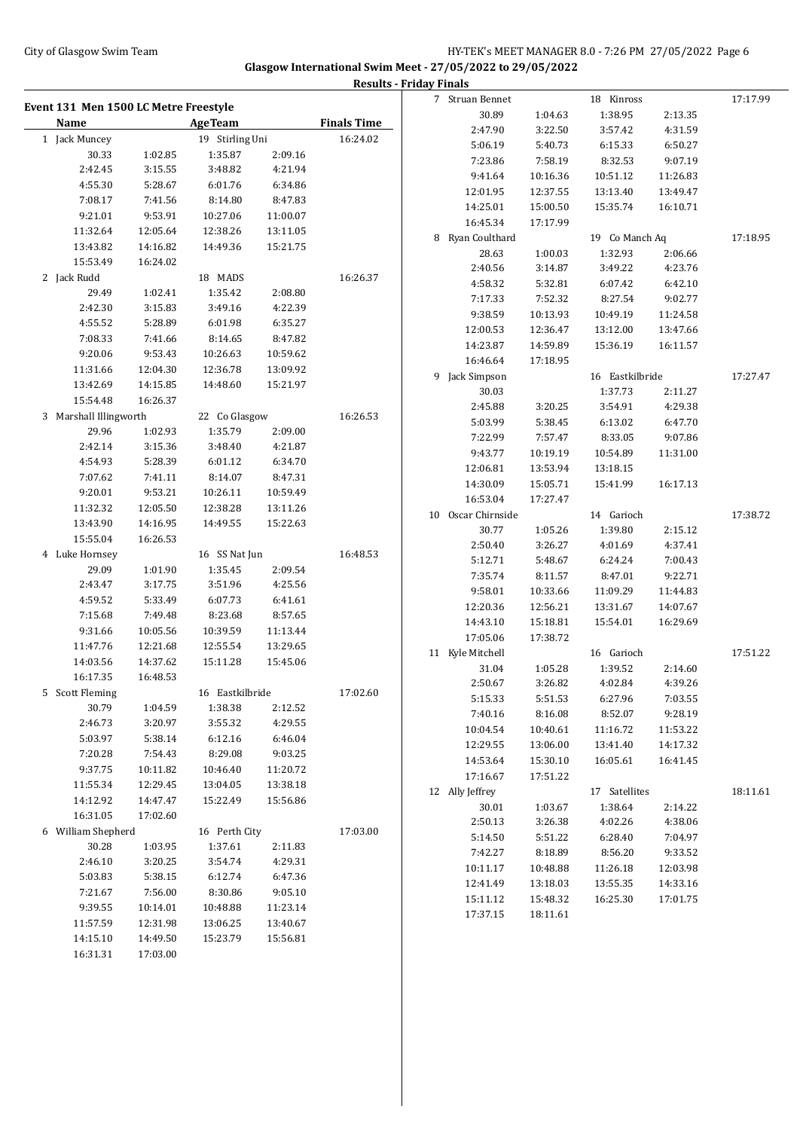## City of Glasgow Swim Team Team Team Fermi Management of the HY-TEK's MEET MANAGER 8.0 - 7:26 PM 27/05/2022 Page 6 **Glasgow International Swim Meet - 27/05/2022 to 29/05/2022**

|                                       |                      |                            |                      | <b>Results - Friday Finals</b> |                    |          |                 |          |          |
|---------------------------------------|----------------------|----------------------------|----------------------|--------------------------------|--------------------|----------|-----------------|----------|----------|
| Event 131 Men 1500 LC Metre Freestyle |                      |                            |                      |                                | 7 Struan Bennet    |          | 18 Kinross      |          | 17:17.99 |
| Name                                  |                      | <b>AgeTeam</b>             |                      | <b>Finals Time</b>             | 30.89              | 1:04.63  | 1:38.95         | 2:13.35  |          |
| 1 Jack Muncey                         |                      |                            |                      | 16:24.02                       | 2:47.90            | 3:22.50  | 3:57.42         | 4:31.59  |          |
| 30.33                                 |                      | 19 Stirling Uni<br>1:35.87 | 2:09.16              |                                | 5:06.19            | 5:40.73  | 6:15.33         | 6:50.27  |          |
| 2:42.45                               | 1:02.85<br>3:15.55   | 3:48.82                    | 4:21.94              |                                | 7:23.86            | 7:58.19  | 8:32.53         | 9:07.19  |          |
| 4:55.30                               | 5:28.67              | 6:01.76                    | 6:34.86              |                                | 9:41.64            | 10:16.36 | 10:51.12        | 11:26.83 |          |
| 7:08.17                               |                      |                            | 8:47.83              |                                | 12:01.95           | 12:37.55 | 13:13.40        | 13:49.47 |          |
|                                       | 7:41.56              | 8:14.80                    |                      |                                | 14:25.01           | 15:00.50 | 15:35.74        | 16:10.71 |          |
| 9:21.01                               | 9:53.91              | 10:27.06                   | 11:00.07             |                                | 16:45.34           | 17:17.99 |                 |          |          |
| 11:32.64                              | 12:05.64             | 12:38.26                   | 13:11.05             |                                | 8 Ryan Coulthard   |          | 19 Co Manch Aq  |          | 17:18.95 |
| 13:43.82                              | 14:16.82             | 14:49.36                   | 15:21.75             |                                | 28.63              | 1:00.03  | 1:32.93         | 2:06.66  |          |
| 15:53.49                              | 16:24.02             |                            |                      |                                | 2:40.56            | 3:14.87  | 3:49.22         | 4:23.76  |          |
| 2 Jack Rudd                           |                      | 18 MADS                    |                      | 16:26.37                       | 4:58.32            | 5:32.81  | 6:07.42         | 6:42.10  |          |
| 29.49<br>2:42.30                      | 1:02.41              | 1:35.42                    | 2:08.80              |                                | 7:17.33            | 7:52.32  | 8:27.54         | 9:02.77  |          |
|                                       | 3:15.83              | 3:49.16                    | 4:22.39              |                                | 9:38.59            | 10:13.93 | 10:49.19        | 11:24.58 |          |
| 4:55.52                               | 5:28.89              | 6:01.98                    | 6:35.27              |                                | 12:00.53           | 12:36.47 | 13:12.00        | 13:47.66 |          |
| 7:08.33<br>9:20.06                    | 7:41.66              | 8:14.65                    | 8:47.82              |                                | 14:23.87           | 14:59.89 | 15:36.19        | 16:11.57 |          |
|                                       | 9:53.43              | 10:26.63                   | 10:59.62             |                                | 16:46.64           | 17:18.95 |                 |          |          |
| 11:31.66                              | 12:04.30             | 12:36.78                   | 13:09.92             |                                | 9 Jack Simpson     |          | 16 Eastkilbride |          | 17:27.47 |
| 13:42.69                              | 14:15.85             | 14:48.60                   | 15:21.97             |                                | 30.03              |          | 1:37.73         | 2:11.27  |          |
| 15:54.48                              | 16:26.37             |                            |                      |                                | 2:45.88            | 3:20.25  | 3:54.91         | 4:29.38  |          |
| 3 Marshall Illingworth                |                      | 22 Co Glasgow              |                      | 16:26.53                       | 5:03.99            | 5:38.45  | 6:13.02         | 6:47.70  |          |
| 29.96                                 | 1:02.93              | 1:35.79                    | 2:09.00              |                                | 7:22.99            | 7:57.47  | 8:33.05         | 9:07.86  |          |
| 2:42.14<br>4:54.93                    | 3:15.36              | 3:48.40                    | 4:21.87              |                                | 9:43.77            | 10:19.19 | 10:54.89        | 11:31.00 |          |
| 7:07.62                               | 5:28.39<br>7:41.11   | 6:01.12<br>8:14.07         | 6:34.70<br>8:47.31   |                                | 12:06.81           | 13:53.94 | 13:18.15        |          |          |
| 9:20.01                               | 9:53.21              |                            |                      |                                | 14:30.09           | 15:05.71 | 15:41.99        | 16:17.13 |          |
| 11:32.32                              |                      | 10:26.11                   | 10:59.49             |                                | 16:53.04           | 17:27.47 |                 |          |          |
| 13:43.90                              | 12:05.50<br>14:16.95 | 12:38.28<br>14:49.55       | 13:11.26<br>15:22.63 |                                | 10 Oscar Chirnside |          | 14 Garioch      |          | 17:38.72 |
| 15:55.04                              | 16:26.53             |                            |                      |                                | 30.77              | 1:05.26  | 1:39.80         | 2:15.12  |          |
| 4 Luke Hornsey                        |                      | 16 SS Nat Jun              |                      | 16:48.53                       | 2:50.40            | 3:26.27  | 4:01.69         | 4:37.41  |          |
| 29.09                                 | 1:01.90              | 1:35.45                    | 2:09.54              |                                | 5:12.71            | 5:48.67  | 6:24.24         | 7:00.43  |          |
| 2:43.47                               | 3:17.75              | 3:51.96                    | 4:25.56              |                                | 7:35.74            | 8:11.57  | 8:47.01         | 9:22.71  |          |
| 4:59.52                               | 5:33.49              | 6:07.73                    | 6:41.61              |                                | 9:58.01            | 10:33.66 | 11:09.29        | 11:44.83 |          |
| 7:15.68                               | 7:49.48              | 8:23.68                    | 8:57.65              |                                | 12:20.36           | 12:56.21 | 13:31.67        | 14:07.67 |          |
| 9:31.66                               | 10:05.56             | 10:39.59                   | 11:13.44             |                                | 14:43.10           | 15:18.81 | 15:54.01        | 16:29.69 |          |
| 11:47.76                              | 12:21.68             | 12:55.54                   | 13:29.65             |                                | 17:05.06           | 17:38.72 |                 |          |          |
| 14:03.56                              | 14:37.62             | 15:11.28                   | 15:45.06             |                                | 11 Kyle Mitchell   |          | 16 Garioch      |          | 17:51.22 |
| 16:17.35                              | 16:48.53             |                            |                      |                                | 31.04              | 1:05.28  | 1:39.52         | 2:14.60  |          |
| 5 Scott Fleming                       |                      | 16 Eastkilbride            |                      | 17:02.60                       | 2:50.67            | 3:26.82  | 4:02.84         | 4:39.26  |          |
| 30.79                                 | 1:04.59              | 1:38.38                    | 2:12.52              |                                | 5:15.33            | 5:51.53  | 6:27.96         | 7:03.55  |          |
| 2:46.73                               | 3:20.97              | 3:55.32                    | 4:29.55              |                                | 7:40.16            | 8:16.08  | 8:52.07         | 9:28.19  |          |
| 5:03.97                               | 5:38.14              | 6:12.16                    | 6:46.04              |                                | 10:04.54           | 10:40.61 | 11:16.72        | 11:53.22 |          |
| 7:20.28                               | 7:54.43              | 8:29.08                    | 9:03.25              |                                | 12:29.55           | 13:06.00 | 13:41.40        | 14:17.32 |          |
| 9:37.75                               | 10:11.82             | 10:46.40                   | 11:20.72             |                                | 14:53.64           | 15:30.10 | 16:05.61        | 16:41.45 |          |
| 11:55.34                              | 12:29.45             | 13:04.05                   | 13:38.18             |                                | 17:16.67           | 17:51.22 |                 |          |          |
| 14:12.92                              | 14:47.47             | 15:22.49                   | 15:56.86             |                                | 12 Ally Jeffrey    |          | 17 Satellites   |          | 18:11.61 |
| 16:31.05                              | 17:02.60             |                            |                      |                                | 30.01              | 1:03.67  | 1:38.64         | 2:14.22  |          |
| 6 William Shepherd                    |                      | 16 Perth City              |                      | 17:03.00                       | 2:50.13            | 3:26.38  | 4:02.26         | 4:38.06  |          |
| 30.28                                 | 1:03.95              | 1:37.61                    | 2:11.83              |                                | 5:14.50            | 5:51.22  | 6:28.40         | 7:04.97  |          |
| 2:46.10                               | 3:20.25              | 3:54.74                    | 4:29.31              |                                | 7:42.27            | 8:18.89  | 8:56.20         | 9:33.52  |          |
| 5:03.83                               | 5:38.15              | 6:12.74                    | 6:47.36              |                                | 10:11.17           | 10:48.88 | 11:26.18        | 12:03.98 |          |
| 7:21.67                               | 7:56.00              | 8:30.86                    | 9:05.10              |                                | 12:41.49           | 13:18.03 | 13:55.35        | 14:33.16 |          |
| 9:39.55                               | 10:14.01             | 10:48.88                   | 11:23.14             |                                | 15:11.12           | 15:48.32 | 16:25.30        | 17:01.75 |          |
| 11:57.59                              | 12:31.98             | 13:06.25                   | 13:40.67             |                                | 17:37.15           | 18:11.61 |                 |          |          |
| 14:15.10                              | 14:49.50             | 15:23.79                   | 15:56.81             |                                |                    |          |                 |          |          |
| 16:31.31                              | 17:03.00             |                            |                      |                                |                    |          |                 |          |          |